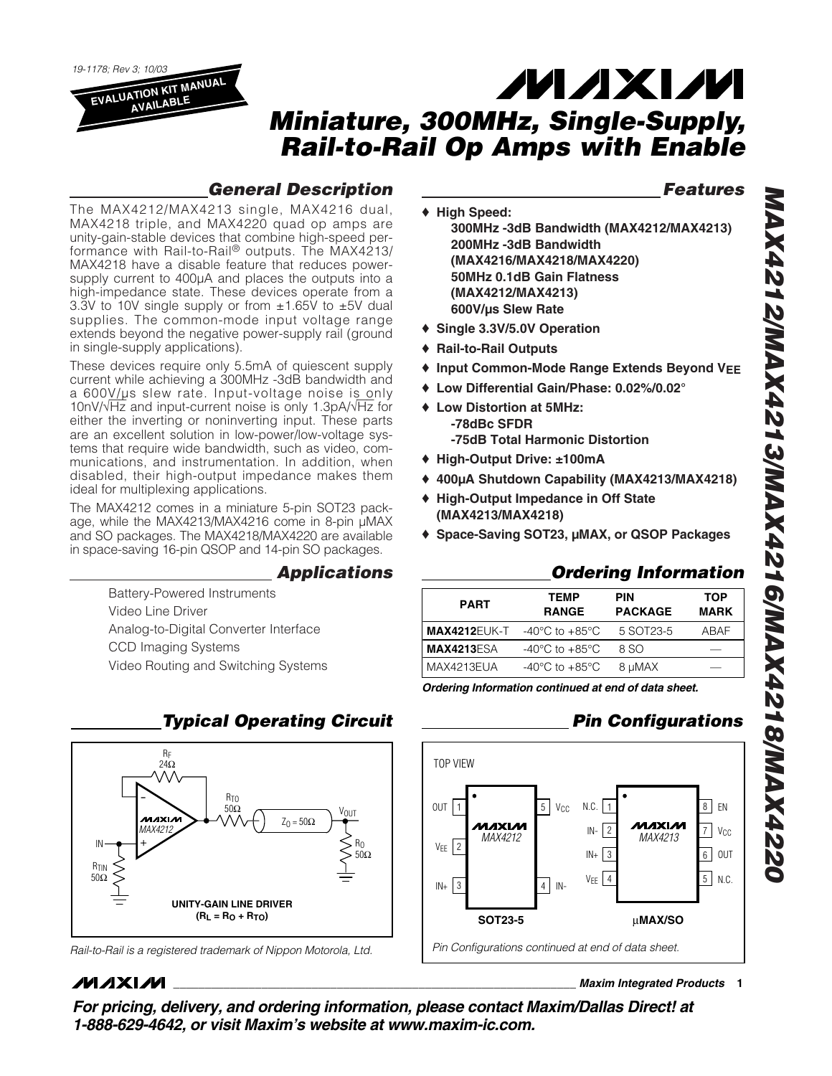*19-1178; Rev 3; 10/03* **EVALUATION KIT MANUAL**

**AVAILABLE**

# **MAXM** *Miniature, 300MHz, Single-Supply, Rail-to-Rail Op Amps with Enable*

## *General Description*

*Features*

The MAX4212/MAX4213 single, MAX4216 dual, MAX4218 triple, and MAX4220 quad op amps are unity-gain-stable devices that combine high-speed performance with Rail-to-Rail® outputs. The MAX4213/ MAX4218 have a disable feature that reduces powersupply current to 400µA and places the outputs into a high-impedance state. These devices operate from a 3.3V to 10V single supply or from  $\pm 1.65$ V to  $\pm 5$ V dual supplies. The common-mode input voltage range extends beyond the negative power-supply rail (ground in single-supply applications).

These devices require only 5.5mA of quiescent supply current while achieving a 300MHz -3dB bandwidth and a 600V/µs slew rate. Input-voltage noise is only 10nV/√Hz and input-current noise is only 1.3pA/√Hz for either the inverting or noninverting input. These parts are an excellent solution in low-power/low-voltage systems that require wide bandwidth, such as video, communications, and instrumentation. In addition, when disabled, their high-output impedance makes them ideal for multiplexing applications.

The MAX4212 comes in a miniature 5-pin SOT23 package, while the MAX4213/MAX4216 come in 8-pin µMAX and SO packages. The MAX4218/MAX4220 are available in space-saving 16-pin QSOP and 14-pin SO packages.

## *Applications*

Battery-Powered Instruments Video Line Driver Analog-to-Digital Converter Interface CCD Imaging Systems Video Routing and Switching Systems



## **MAXIM**

### **\_\_\_\_\_\_\_\_\_\_\_\_\_\_\_\_\_\_\_\_\_\_\_\_\_\_\_\_\_\_\_\_\_\_\_\_\_\_\_\_\_\_\_\_\_\_\_\_\_\_\_\_\_\_\_\_\_\_\_\_\_\_\_\_** *Maxim Integrated Products* **1**

*For pricing, delivery, and ordering information, please contact Maxim/Dallas Direct! at 1-888-629-4642, or visit Maxim's website at www.maxim-ic.com.*

- ♦ **High Speed: 300MHz -3dB Bandwidth (MAX4212/MAX4213) 200MHz -3dB Bandwidth (MAX4216/MAX4218/MAX4220) 50MHz 0.1dB Gain Flatness (MAX4212/MAX4213) 600V/µs Slew Rate**
- ♦ **Single 3.3V/5.0V Operation**
- ♦ **Rail-to-Rail Outputs**
- ♦ **Input Common-Mode Range Extends Beyond VEE**
- ♦ **Low Differential Gain/Phase: 0.02%/0.02°**
- ♦ **Low Distortion at 5MHz: -78dBc SFDR -75dB Total Harmonic Distortion**
- ♦ **High-Output Drive: ±100mA**
- ♦ **400µA Shutdown Capability (MAX4213/MAX4218)**
- ♦ **High-Output Impedance in Off State (MAX4213/MAX4218)**
- ♦ **Space-Saving SOT23, µMAX, or QSOP Packages**

## *Ordering Information*

| <b>PART</b>         | <b>TEMP</b><br><b>RANGE</b>          | <b>PIN</b><br><b>PACKAGE</b> | <b>TOP</b><br><b>MARK</b> |
|---------------------|--------------------------------------|------------------------------|---------------------------|
| <b>MAX4212EUK-T</b> | -40 $^{\circ}$ C to +85 $^{\circ}$ C | 5 SOT23-5                    | ABAF                      |
| <b>MAX4213ESA</b>   | -40 $^{\circ}$ C to +85 $^{\circ}$ C | 8 SO                         |                           |
| MAX4213EUA          | -40 $^{\circ}$ C to +85 $^{\circ}$ C | 8 µMAX                       |                           |
|                     |                                      |                              |                           |

*Ordering Information continued at end of data sheet.*

## *Pin Configurations*

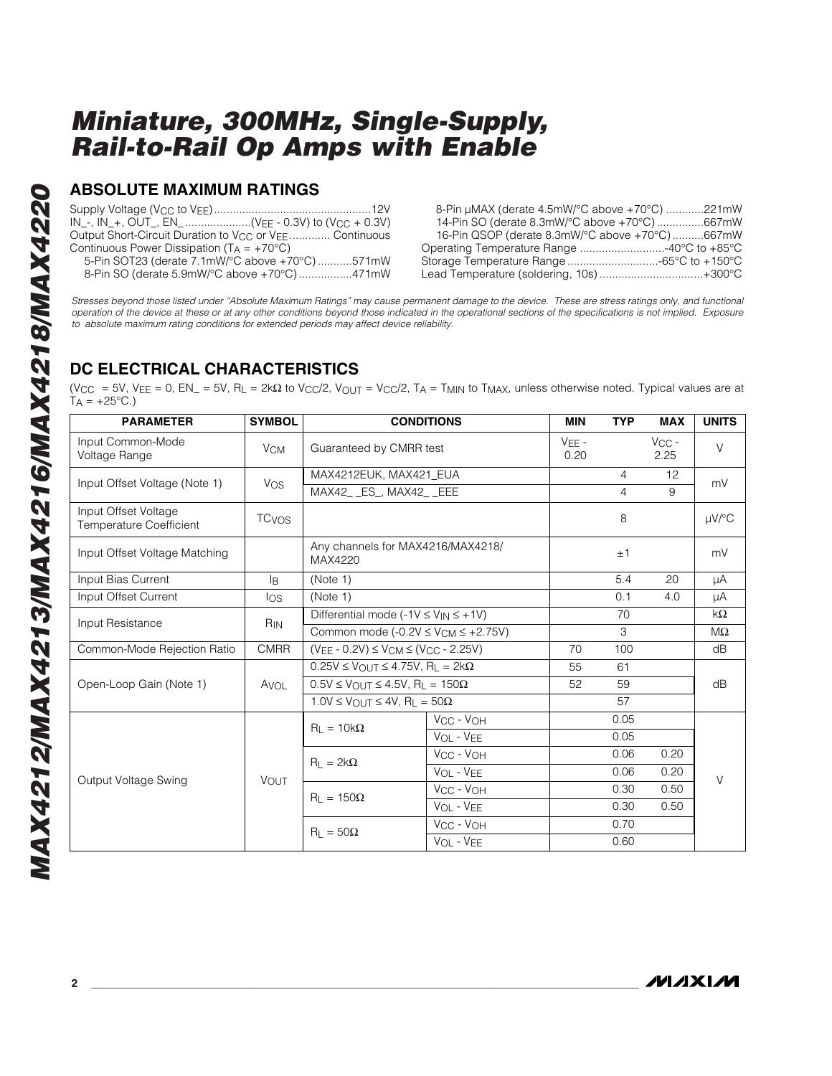### **ABSOLUTE MAXIMUM RATINGS**

Supply Voltage (VCC to VEE)..................................................12V IN\_-, IN\_+, OUT\_, EN\_.....................(VEE - 0.3V) to (VCC + 0.3V) Output Short-Circuit Duration to V<sub>CC</sub> or V<sub>EE</sub>.............. Continuous Continuous Power Dissipation ( $T_A = +70^{\circ}C$ ) 5-Pin SOT23 (derate 7.1mW/°C above +70°C) ...........571mW

8-Pin SO (derate 5.9mW/°C above +70°C) .................471mW

8-Pin µMAX (derate 4.5mW/°C above +70°C) ............221mW 14-Pin SO (derate 8.3mW/°C above +70°C) ...............667mW 16-Pin QSOP (derate 8.3mW/°C above +70°C) ..........667mW Operating Temperature Range ...........................-40°C to +85°C Storage Temperature Range .............................-65°C to +150°C Lead Temperature (soldering, 10s) .................................+300°C

*Stresses beyond those listed under "Absolute Maximum Ratings" may cause permanent damage to the device. These are stress ratings only, and functional operation of the device at these or at any other conditions beyond those indicated in the operational sections of the specifications is not implied. Exposure to absolute maximum rating conditions for extended periods may affect device reliability.*

## **DC ELECTRICAL CHARACTERISTICS**

(VCC = 5V, VEE = 0, EN\_ = 5V, RL = 2kΩ to VCC/2, VOUT = VCC/2, TA = TMIN to TMAX, unless otherwise noted. Typical values are at  $T_A = +25$ °C.)

| <b>PARAMETER</b>                                       | <b>SYMBOL</b>           |                                                                     | <b>CONDITIONS</b>                 | <b>MIN</b> | <b>TYP</b>         | <b>MAX</b> | <b>UNITS</b> |  |
|--------------------------------------------------------|-------------------------|---------------------------------------------------------------------|-----------------------------------|------------|--------------------|------------|--------------|--|
| Input Common-Mode<br>Voltage Range                     | <b>V<sub>CM</sub></b>   | Guaranteed by CMRR test                                             | $VFE -$<br>0.20                   |            | $V_{CC}$ -<br>2.25 | V          |              |  |
|                                                        |                         | MAX4212EUK, MAX421_EUA                                              |                                   |            | $\overline{4}$     | 12         | mV           |  |
| Input Offset Voltage (Note 1)                          | Vos                     | MAX42_ _ES_, MAX42_ _EEE                                            |                                   |            | $\overline{4}$     | 9          |              |  |
| Input Offset Voltage<br><b>Temperature Coefficient</b> | <b>TC<sub>VOS</sub></b> |                                                                     |                                   |            |                    |            | $\mu$ V/°C   |  |
| Input Offset Voltage Matching                          |                         | Any channels for MAX4216/MAX4218/<br>MAX4220                        |                                   | ±1         |                    | mV         |              |  |
| Input Bias Current                                     | l <sub>R</sub>          | (Note 1)                                                            |                                   |            | 5.4                | 20         | μA           |  |
| Input Offset Current                                   | los                     | (Note 1)                                                            |                                   | 0.1        | 4.0                | μA         |              |  |
| Input Resistance                                       | R <sub>IN</sub>         | Differential mode $(-1V \le V_{IN} \le +1V)$                        |                                   | 70         |                    | $k\Omega$  |              |  |
|                                                        |                         | Common mode $(-0.2V \le V_{CM} \le +2.75V)$                         |                                   | 3          |                    | $M\Omega$  |              |  |
| Common-Mode Rejection Ratio                            | <b>CMRR</b>             | $(V_{EE} - 0.2V) \leq V_{CM} \leq (V_{CC} - 2.25V)$                 |                                   | 70         | 100                |            | dB           |  |
|                                                        | Avol                    | $0.25V \le V_{\Omega U T} \le 4.75V$ , R <sub>1</sub> = 2k $\Omega$ | 55                                | 61         |                    | dB         |              |  |
| Open-Loop Gain (Note 1)                                |                         | $0.5V \leq V_{\text{OUT}} \leq 4.5V$ , RL = 150 $\Omega$            |                                   | 52         | 59                 |            |              |  |
|                                                        |                         | $1.0V \leq V_{\bigcap U}T \leq 4V$ , R <sub>1</sub> = 50 $\Omega$   |                                   | 57         |                    |            |              |  |
|                                                        |                         | $R_L = 10k\Omega$                                                   | VCC - VOH                         |            | 0.05               |            |              |  |
|                                                        |                         |                                                                     | VOL - VEE                         |            | 0.05               |            | $\vee$       |  |
|                                                        |                         | $R_1 = 2k\Omega$                                                    | V <sub>CC</sub> - V <sub>OH</sub> |            | 0.06               | 0.20       |              |  |
| Output Voltage Swing                                   |                         |                                                                     | VOL - VEE                         |            | 0.06               | 0.20       |              |  |
|                                                        | <b>VOUT</b>             | $R_1 = 150\Omega$                                                   | VCC - VOH                         |            | 0.30               | 0.50       |              |  |
|                                                        |                         |                                                                     | VOL - VEE                         |            | 0.30               | 0.50       |              |  |
|                                                        |                         | $R_1 = 50\Omega$                                                    | V <sub>CC</sub> - V <sub>OH</sub> |            | 0.70               |            |              |  |
|                                                        |                         |                                                                     | VOL - VEE                         |            | 0.60               |            |              |  |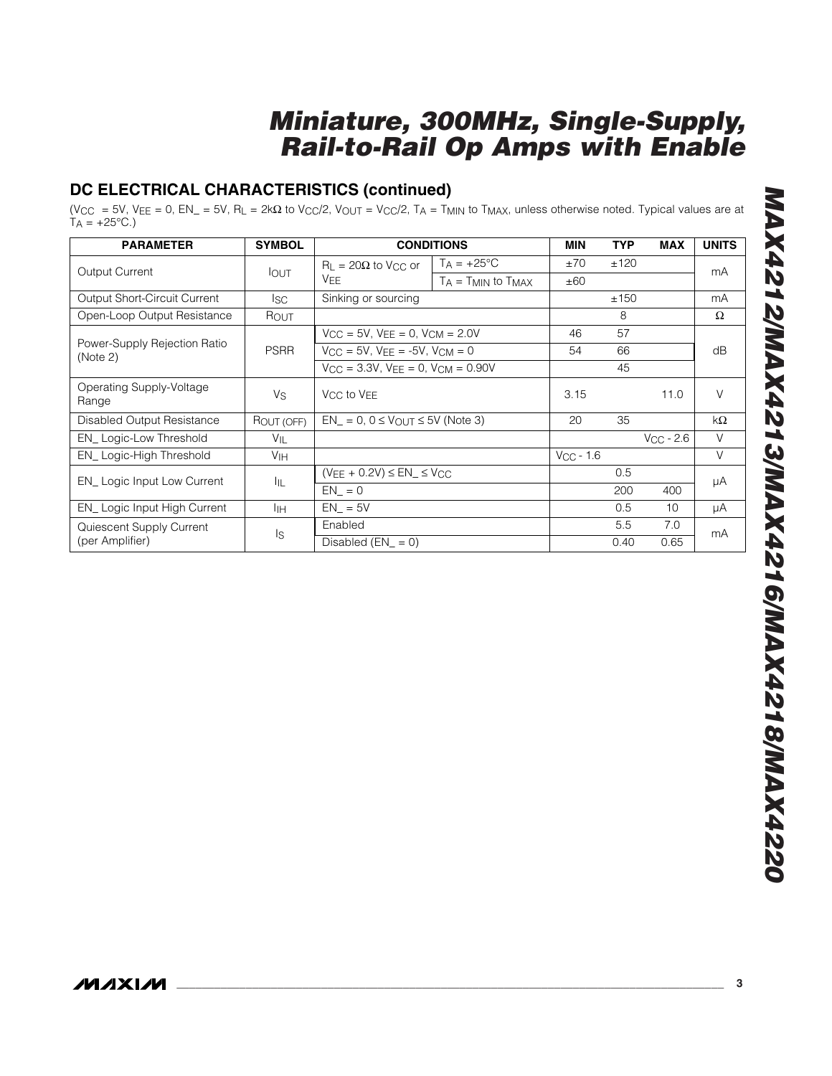## **DC ELECTRICAL CHARACTERISTICS (continued)**

(V<sub>CC</sub> = 5V, V<sub>EE</sub> = 0, EN\_ = 5V, R<sub>L</sub> = 2kΩ to V<sub>CC</sub>/2, V<sub>OUT</sub> = V<sub>CC</sub>/2, T<sub>A</sub> = T<sub>MIN</sub> to T<sub>MAX</sub>, unless otherwise noted. Typical values are at  $TA = +25^{\circ}C.$ 

| <b>PARAMETER</b>                         | <b>SYMBOL</b>   | <b>CONDITIONS</b>                                                      |                                                | MIN            | <b>TYP</b> | <b>MAX</b>     | <b>UNITS</b> |
|------------------------------------------|-----------------|------------------------------------------------------------------------|------------------------------------------------|----------------|------------|----------------|--------------|
| Output Current                           | <b>IOUT</b>     | $R_{L} = 20\Omega$ to V <sub>CC</sub> or<br>VFF                        | $T_A = +25$ °C<br>$T_A = T_{MIN}$ to $T_{MAX}$ | ±70<br>±60     | ±120       |                | mA           |
| <b>Output Short-Circuit Current</b>      | lsc.            | Sinking or sourcing                                                    |                                                |                | ±150       |                | mA           |
| Open-Loop Output Resistance              | ROUT            |                                                                        |                                                |                | 8          |                | Ω            |
|                                          |                 | $V_{\rm CC} = 5V$ , $V_{\rm FE} = 0$ , $V_{\rm CM} = 2.0V$             |                                                | 46             | 57         |                |              |
| Power-Supply Rejection Ratio<br>(Note 2) | <b>PSRR</b>     | $V_{CC} = 5V$ , $V_{FE} = -5V$ , $V_{CM} = 0$                          | 54                                             | 66             |            | dB             |              |
|                                          |                 | $V_{\text{CC}} = 3.3V$ , $V_{\text{FF}} = 0$ , $V_{\text{CM}} = 0.90V$ |                                                | 45             |            |                |              |
| Operating Supply-Voltage<br>Range        | Vs              | V <sub>CC</sub> to V <sub>EE</sub>                                     |                                                | 3.15           |            | 11.0           | V            |
| Disabled Output Resistance               | ROUT (OFF)      | $EN_{-} = 0$ , $0 \leq V_{\text{OUT}} \leq 5V$ (Note 3)                |                                                | 20             | 35         |                | $k\Omega$    |
| EN_Logic-Low Threshold                   | V <sub>IL</sub> |                                                                        |                                                |                |            | $V_{CC}$ - 2.6 | $\vee$       |
| EN Logic-High Threshold                  | V <sub>IH</sub> |                                                                        |                                                | $V_{CC}$ - 1.6 |            |                | V            |
|                                          | ĪЩ              | $(V_{\text{FE}} + 0.2V) \leq \text{EN}_{\text{L}} \leq V_{\text{CC}}$  |                                                |                | 0.5        |                |              |
| EN_ Logic Input Low Current              |                 | $EN = 0$                                                               |                                                |                | 200        | 400            | μA           |
| EN_Logic Input High Current              | ĪІН             | $EN = 5V$                                                              |                                                | 0.5            | 10         | μA             |              |
| Quiescent Supply Current                 | Is              | Enabled                                                                |                                                |                | 5.5        | 7.0            | mA           |
| (per Amplifier)                          |                 | Disabled $(EN = 0)$                                                    |                                                |                | 0.40       | 0.65           |              |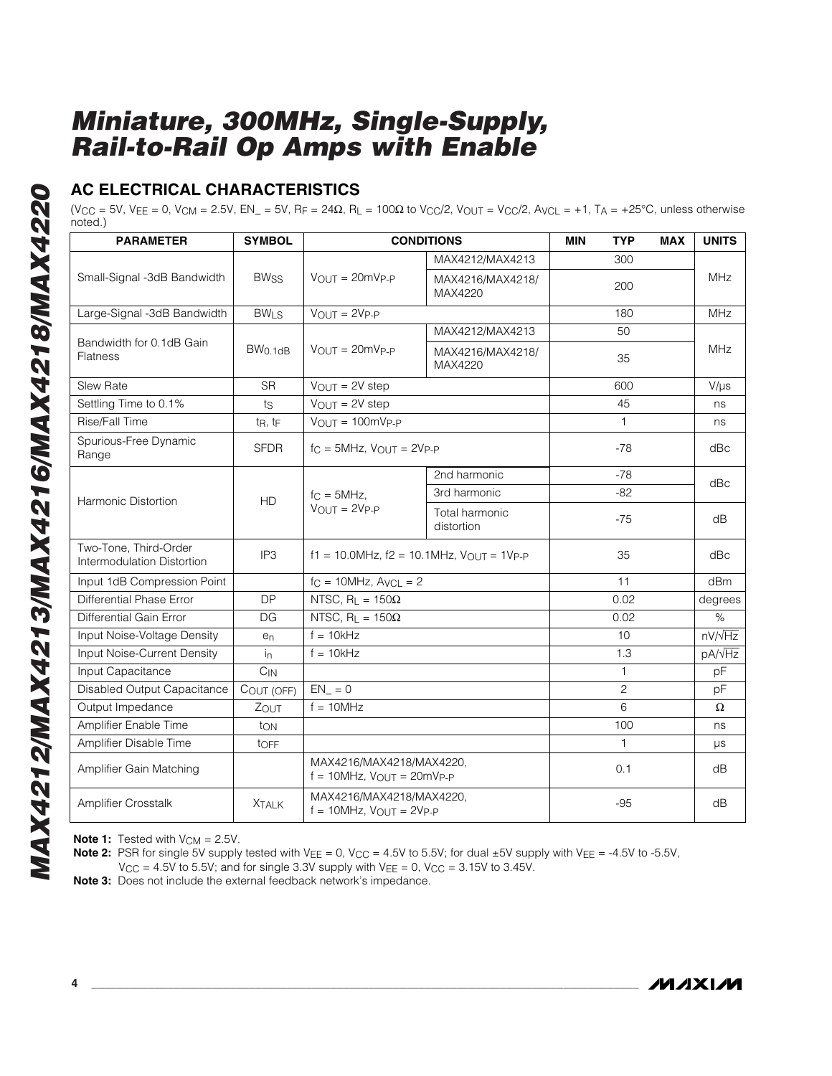## **AC ELECTRICAL CHARACTERISTICS**

(V<sub>CC</sub> = 5V, V<sub>EE</sub> = 0, V<sub>CM</sub> = 2.5V, EN\_ = 5V, R<sub>F</sub> = 24Ω, R<sub>L</sub> = 100Ω to V<sub>CC</sub>/2, V<sub>OUT</sub> = V<sub>CC</sub>/2, A<sub>VCL</sub> = +1, T<sub>A</sub> = +25°C, unless otherwise noted.)

| <b>PARAMETER</b>                                    | <b>SYMBOL</b>          | <b>CONDITIONS</b>                                           |                              | <b>MIN</b> | <b>TYP</b>     | <b>MAX</b> | <b>UNITS</b>       |
|-----------------------------------------------------|------------------------|-------------------------------------------------------------|------------------------------|------------|----------------|------------|--------------------|
|                                                     |                        |                                                             | MAX4212/MAX4213              |            | 300            |            |                    |
| Small-Signal -3dB Bandwidth                         | <b>BWss</b>            | $V_{\text{OUT}} = 20 \text{mVp}_P$                          | MAX4216/MAX4218/<br>MAX4220  |            | 200            |            | <b>MHz</b>         |
| Large-Signal -3dB Bandwidth                         | <b>BW<sub>LS</sub></b> | $V_{OUT} = 2V_{P-P}$<br>180                                 |                              |            | <b>MHz</b>     |            |                    |
|                                                     |                        |                                                             | MAX4212/MAX4213              |            | 50             |            |                    |
| Bandwidth for 0.1dB Gain<br><b>Flatness</b>         | BW <sub>0.1dB</sub>    | $V_{OUT} = 20mV_{P-P}$                                      | MAX4216/MAX4218/<br>MAX4220  |            | 35             |            | <b>MHz</b>         |
| Slew Rate                                           | <b>SR</b>              | $V_{OUT} = 2V$ step                                         |                              |            | 600            |            | $V/\mu s$          |
| Settling Time to 0.1%                               | ts                     | $V_{OUT} = 2V$ step                                         |                              |            | 45             |            | ns                 |
| Rise/Fall Time                                      | tR, tF                 | $V_{OUT} = 100mV_{P-P}$                                     |                              |            | $\mathbf{1}$   |            | ns                 |
| Spurious-Free Dynamic<br>Range                      | <b>SFDR</b>            | $fC = 5MHz$ , $VQUT = 2VP - P$                              | $-78$                        |            |                | dBc        |                    |
|                                                     |                        |                                                             | 2nd harmonic                 |            | $-78$          |            | dBc                |
| Harmonic Distortion                                 | <b>HD</b>              | $fc = 5MHz$<br>$V_{OUIT} = 2V_{P-P}$                        | 3rd harmonic                 |            | $-82$          |            |                    |
|                                                     |                        |                                                             | Total harmonic<br>distortion |            | $-75$          |            | dB                 |
| Two-Tone, Third-Order<br>Intermodulation Distortion | IP <sub>3</sub>        | $f1 = 10.0$ MHz, $f2 = 10.1$ MHz, $V_{OUT} = 1V_{P-P}$      |                              | 35         |                | dBc        |                    |
| Input 1dB Compression Point                         |                        | $f_C = 10$ MHz, $A$ <sub>VCL</sub> = 2                      |                              |            | 11             |            | dBm                |
| Differential Phase Error                            | <b>DP</b>              | NTSC, $R_L = 150\Omega$                                     |                              |            | 0.02           |            | degrees            |
| Differential Gain Error                             | <b>DG</b>              | NTSC, $R_L = 150\Omega$                                     |                              |            | 0.02           |            | $\%$               |
| Input Noise-Voltage Density                         | e <sub>n</sub>         | $f = 10kHz$                                                 |                              |            | 10             |            | $nV/\sqrt{Hz}$     |
| Input Noise-Current Density                         | $\mathsf{in}$          | $f = 10kHz$                                                 |                              |            | 1.3            |            | pA/ <sub>VHz</sub> |
| Input Capacitance                                   | $C_{IN}$               |                                                             |                              |            | 1              |            | pF                 |
| Disabled Output Capacitance                         | COUT (OFF)             | $EN_ = 0$                                                   |                              |            | $\overline{c}$ |            | pF                 |
| Output Impedance                                    | ZOUT                   | $f = 10MHz$                                                 |                              |            | 6              |            | Ω                  |
| Amplifier Enable Time                               | ton                    |                                                             |                              |            | 100            |            | ns                 |
| Amplifier Disable Time                              | tOFF                   |                                                             |                              |            | 1              |            | $\mu s$            |
| Amplifier Gain Matching                             |                        | MAX4216/MAX4218/MAX4220.<br>$f = 10$ MHz, $V$ OUT = 20mVp-p |                              | 0.1        |                | dB         |                    |
| <b>Amplifier Crosstalk</b>                          | <b>XTALK</b>           | MAX4216/MAX4218/MAX4220,<br>$f = 10$ MHz, $VOUT = 2VP-P$    |                              | $-95$      |                | dB         |                    |

**Note 1:** Tested with  $V_{CM} = 2.5V$ .

**Note 2:** PSR for single 5V supply tested with V<sub>EE</sub> = 0, V<sub>CC</sub> = 4.5V to 5.5V; for dual ±5V supply with V<sub>EE</sub> = -4.5V to -5.5V,

 $V_{\text{CC}} = 4.5V$  to 5.5V; and for single 3.3V supply with  $V_{\text{EE}} = 0$ ,  $V_{\text{CC}} = 3.15V$  to 3.45V.

**Note 3:** Does not include the external feedback network's impedance.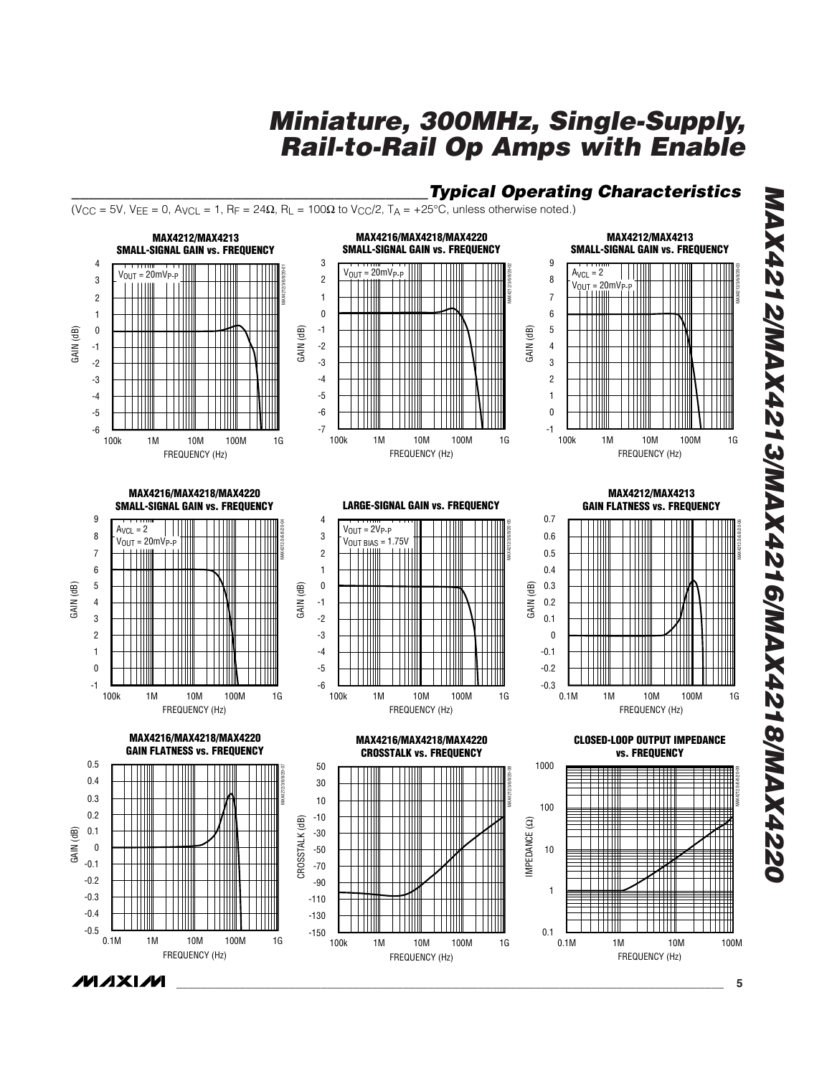*\_\_\_\_\_\_\_\_\_\_\_\_\_\_\_\_\_\_\_\_\_\_\_\_\_\_\_\_\_\_\_\_\_\_\_\_\_\_\_\_\_\_Typical Operating Characteristics*





*\_\_\_\_\_\_\_\_\_\_\_\_\_\_\_\_\_\_\_\_\_\_\_\_\_\_\_\_\_\_\_\_\_\_\_\_\_\_\_\_\_\_\_\_\_\_\_\_\_\_\_\_\_\_\_\_\_\_\_\_\_\_\_\_\_\_\_\_\_\_\_\_\_\_\_\_\_\_\_\_\_\_\_\_\_\_\_* **5**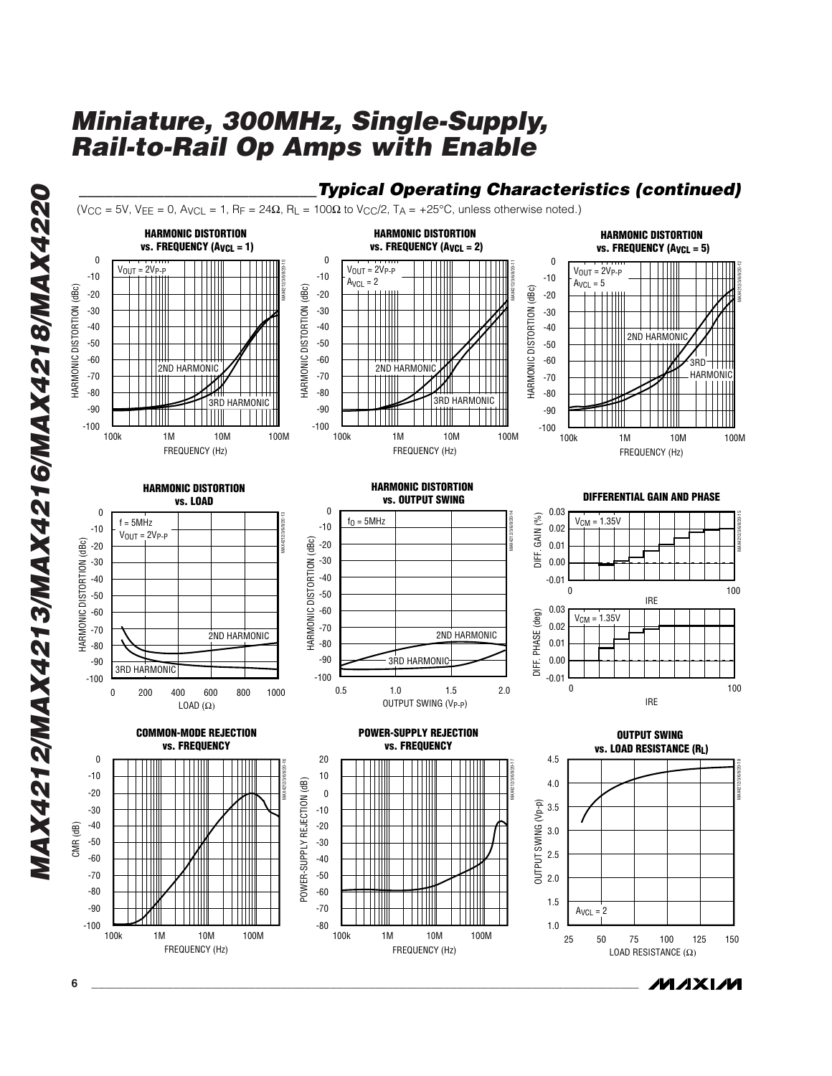



*MAXIM* 

*MAX4212/MAX4213/MAX4216/MAX4218/MAX4220*

MAX4212/MAX4213/MAX4216/MAX4218/MAX4220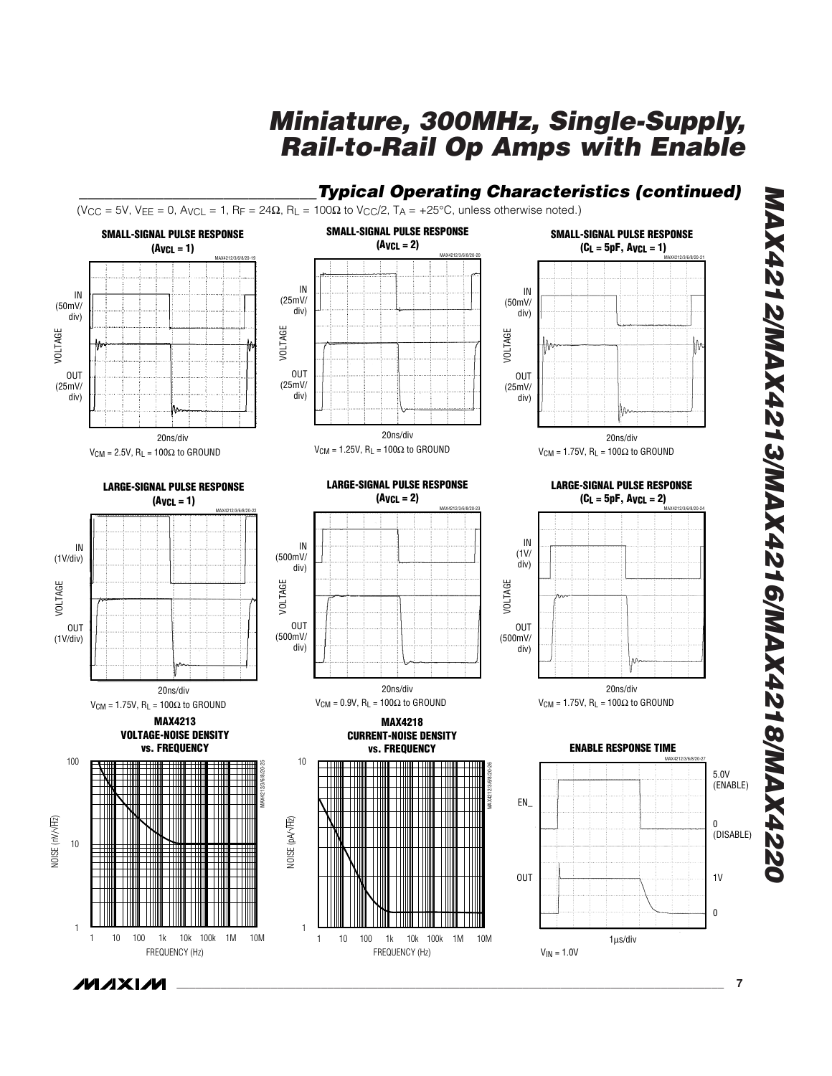

*MAX4212/MAX4213/MAX4216/MAX4218/MAX4220* **MAX4212/MAX4213/MAX4216/MAX4218/MAX422**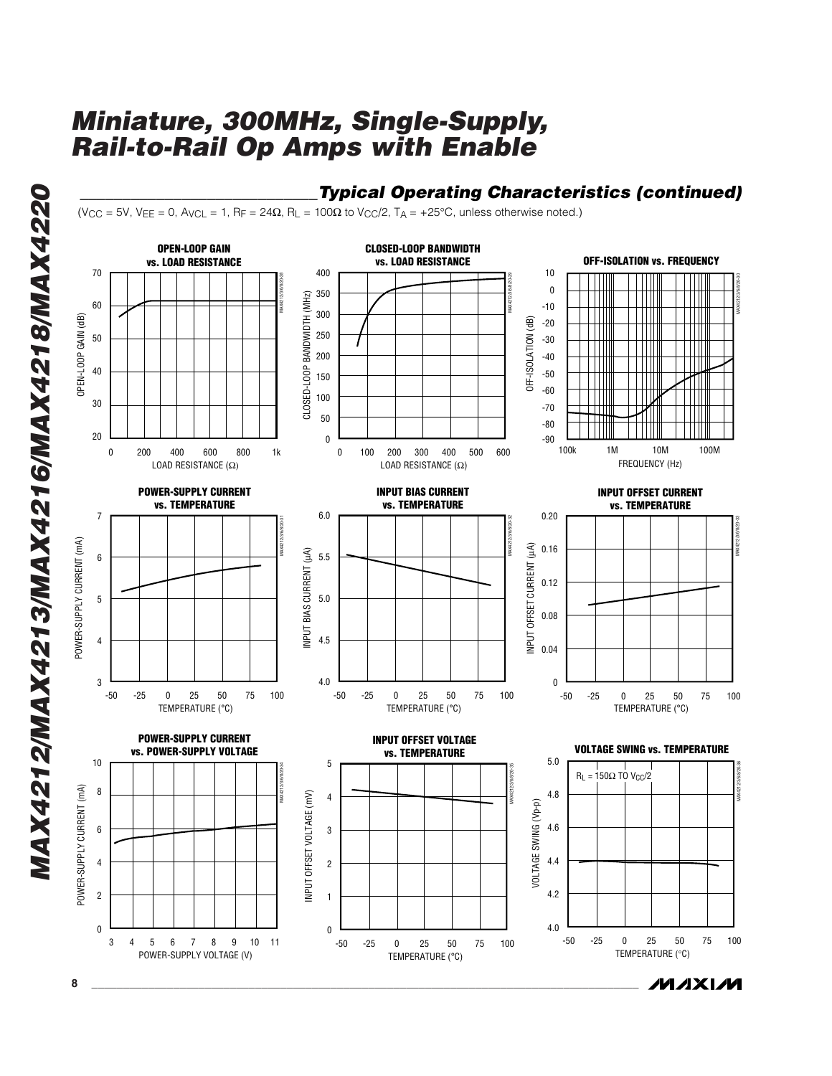### **Typical Operating Characteristics (continued)**

 $(V_{CC} = 5V, V_{EE} = 0, A_{VCL} = 1, R_F = 24\Omega, R_L = 100\Omega$  to  $V_{CC}/2, T_A = +25^{\circ}C$ , unless otherwise noted.)



*MAXM*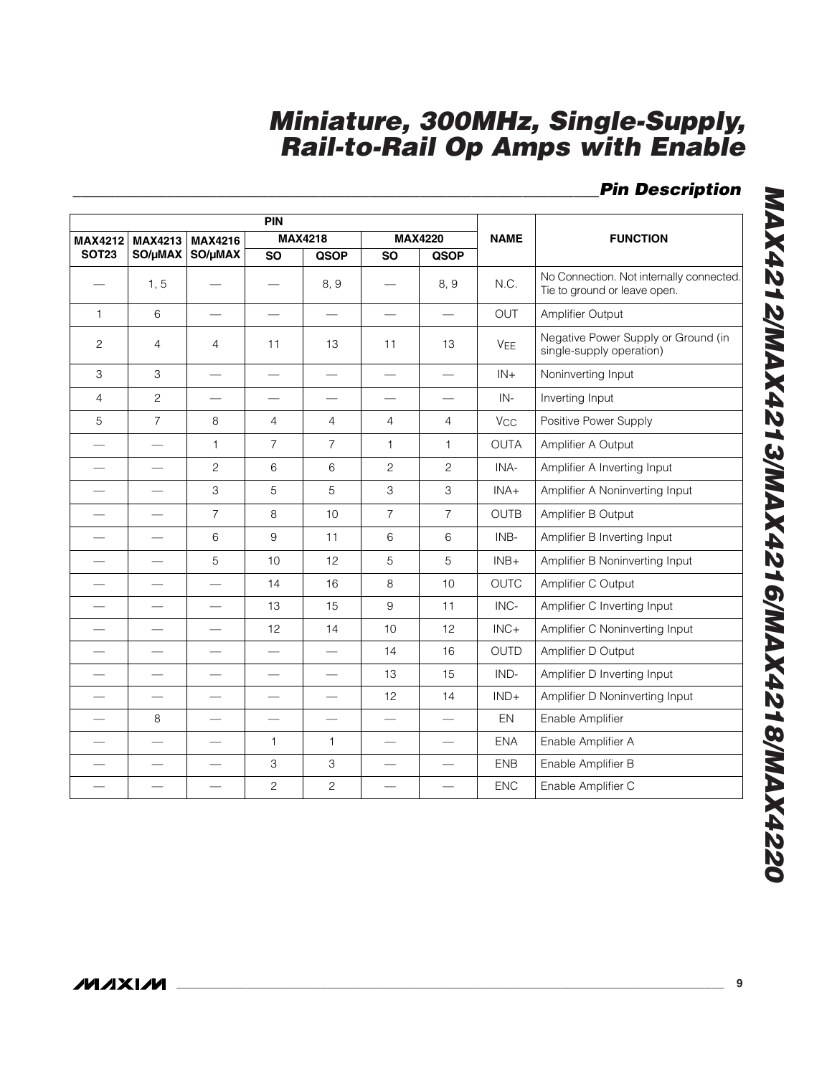## *\_\_\_\_\_\_\_\_\_\_\_\_\_\_\_\_\_\_\_\_\_\_\_\_\_\_\_\_\_\_\_\_\_\_\_\_\_\_\_\_\_\_\_\_\_\_\_\_\_\_\_\_\_\_\_\_\_\_\_\_\_\_Pin Description*

|                          |                          | PIN                      |                           |                           |                          |                          |                       |                                                                          |
|--------------------------|--------------------------|--------------------------|---------------------------|---------------------------|--------------------------|--------------------------|-----------------------|--------------------------------------------------------------------------|
| <b>MAX4212</b>           | <b>MAX4213</b>           | <b>MAX4216</b>           |                           | <b>MAX4218</b>            |                          | <b>MAX4220</b>           | <b>NAME</b>           | <b>FUNCTION</b>                                                          |
| <b>SOT23</b>             | SO/µMAX                  | SO/µMAX                  | <b>SO</b>                 | <b>QSOP</b>               | <b>SO</b>                | <b>QSOP</b>              |                       |                                                                          |
|                          | 1, 5                     |                          |                           | 8, 9                      |                          | 8, 9                     | N.C.                  | No Connection. Not internally connected.<br>Tie to ground or leave open. |
| $\mathbf{1}$             | $6\phantom{a}$           |                          |                           |                           |                          | $\overline{\phantom{0}}$ | <b>OUT</b>            | Amplifier Output                                                         |
| $\overline{c}$           | 4                        | $\overline{4}$           | 11                        | 13                        | 11                       | 13                       | <b>VEE</b>            | Negative Power Supply or Ground (in<br>single-supply operation)          |
| 3                        | 3                        |                          |                           | $\overline{\phantom{0}}$  | $\overline{\phantom{0}}$ |                          | $IN +$                | Noninverting Input                                                       |
| $\overline{4}$           | $\overline{c}$           |                          |                           |                           |                          |                          | $IN -$                | Inverting Input                                                          |
| 5                        | $\overline{7}$           | 8                        | $\overline{4}$            | $\overline{4}$            | $\overline{4}$           | $\overline{4}$           | <b>V<sub>CC</sub></b> | Positive Power Supply                                                    |
|                          |                          | $\mathbf{1}$             | $\overline{7}$            | $\overline{7}$            | $\mathbf{1}$             | 1                        | OUTA                  | Amplifier A Output                                                       |
|                          | $\overline{\phantom{m}}$ | $\overline{c}$           | 6                         | 6                         | $\overline{c}$           | $\overline{c}$           | INA-                  | Amplifier A Inverting Input                                              |
| $\overline{\phantom{0}}$ |                          | 3                        | 5                         | 5                         | 3                        | 3                        | INA+                  | Amplifier A Noninverting Input                                           |
| $\overline{\phantom{0}}$ | $\overline{\phantom{0}}$ | $\overline{7}$           | 8                         | 10                        | $\overline{7}$           | $\overline{7}$           | <b>OUTB</b>           | Amplifier B Output                                                       |
| $\overline{\phantom{0}}$ | $\qquad \qquad$          | 6                        | 9                         | 11                        | 6                        | 6                        | INB-                  | Amplifier B Inverting Input                                              |
|                          |                          | $\overline{5}$           | 10                        | 12                        | 5                        | 5                        | $INB+$                | Amplifier B Noninverting Input                                           |
|                          | $\overline{\phantom{0}}$ | $\overline{\phantom{0}}$ | 14                        | 16                        | 8                        | 10                       | <b>OUTC</b>           | Amplifier C Output                                                       |
|                          | $\overline{\phantom{0}}$ |                          | 13                        | 15                        | 9                        | 11                       | INC-                  | Amplifier C Inverting Input                                              |
|                          |                          |                          | 12                        | 14                        | 10                       | 12                       | $INC +$               | Amplifier C Noninverting Input                                           |
| $\overline{\phantom{0}}$ | $\overline{\phantom{0}}$ |                          |                           | $\overline{\phantom{0}}$  | 14                       | 16                       | <b>OUTD</b>           | Amplifier D Output                                                       |
|                          |                          |                          |                           |                           | 13                       | 15                       | IND-                  | Amplifier D Inverting Input                                              |
|                          |                          |                          |                           | $\overline{\phantom{0}}$  | 12                       | 14                       | $IND+$                | Amplifier D Noninverting Input                                           |
|                          | 8                        |                          |                           | $\overline{\phantom{0}}$  | $\overline{\phantom{0}}$ | $\qquad \qquad$          | EN                    | Enable Amplifier                                                         |
|                          |                          |                          | 1                         | $\mathbf{1}$              |                          |                          | <b>ENA</b>            | Enable Amplifier A                                                       |
|                          |                          |                          | $\ensuremath{\mathsf{3}}$ | $\ensuremath{\mathsf{3}}$ | $\overline{\phantom{0}}$ | $\overline{\phantom{0}}$ | <b>ENB</b>            | Enable Amplifier B                                                       |
|                          |                          |                          | $\mathbf{2}$              | $\overline{c}$            |                          |                          | <b>ENC</b>            | Enable Amplifier C                                                       |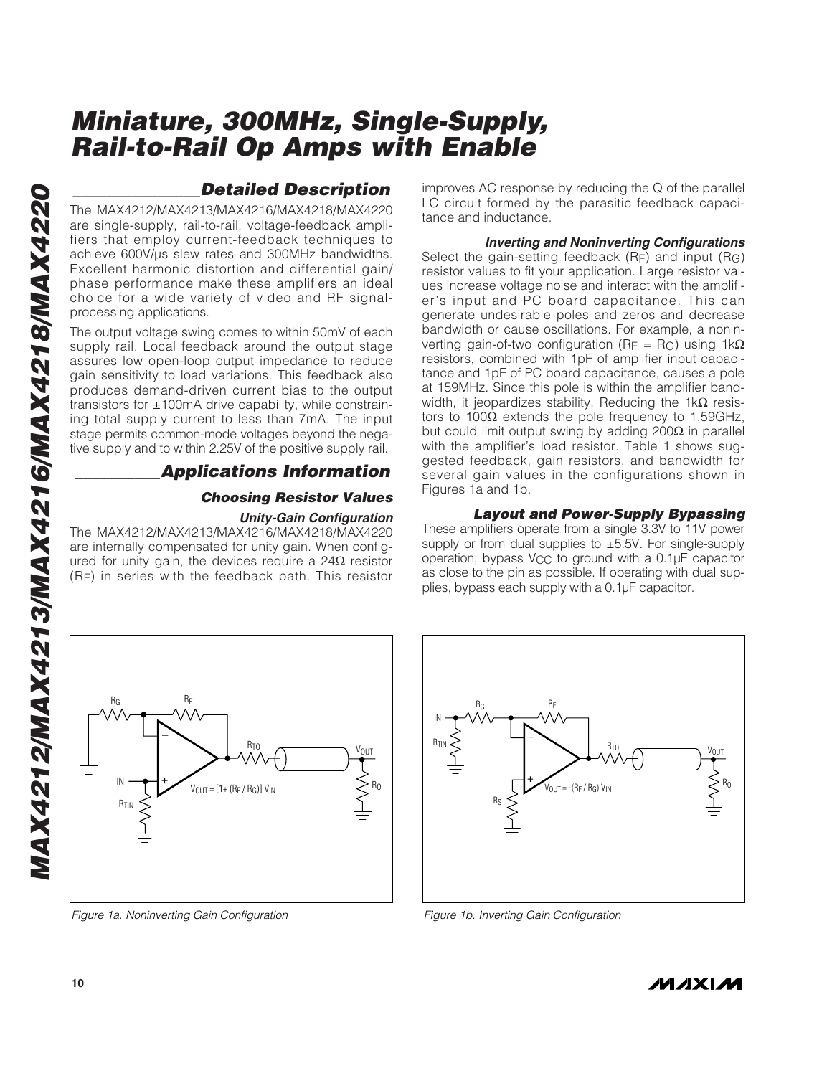The MAX4212/MAX4213/MAX4216/MAX4218/MAX4220 are single-supply, rail-to-rail, voltage-feedback amplifiers that employ current-feedback techniques to achieve 600V/µs slew rates and 300MHz bandwidths. Excellent harmonic distortion and differential gain/ phase performance make these amplifiers an ideal choice for a wide variety of video and RF signalprocessing applications.

**Detailed Description**<br>
are single-supply, rail-to-rail, voltage-feedback ampliters<br>
that employ current-feedback arehibities to the density current feedback and the<br>
ters that employ current feedback arehibities to the co The output voltage swing comes to within 50mV of each supply rail. Local feedback around the output stage assures low open-loop output impedance to reduce gain sensitivity to load variations. This feedback also produces demand-driven current bias to the output transistors for  $\pm 100$ mA drive capability, while constraining total supply current to less than 7mA. The input stage permits common-mode voltages beyond the negative supply and to within 2.25V of the positive supply rail.

### *\_\_\_\_\_\_\_\_\_\_Applications Information*

### *Choosing Resistor Values*

### *Unity-Gain Configuration*

 $R<sub>0</sub>$ 

VOUT

The MAX4212/MAX4213/MAX4216/MAX4218/MAX4220 are internally compensated for unity gain. When configured for unity gain, the devices require a 24Ω resistor (RF) in series with the feedback path. This resistor

R<sub>TO</sub>

improves AC response by reducing the Q of the parallel LC circuit formed by the parasitic feedback capacitance and inductance.

*Inverting and Noninverting Configurations* Select the gain-setting feedback (RF) and input (RG) resistor values to fit your application. Large resistor values increase voltage noise and interact with the amplifier's input and PC board capacitance. This can generate undesirable poles and zeros and decrease bandwidth or cause oscillations. For example, a noninverting gain-of-two configuration (R<sub>F</sub> = R<sub>G</sub>) using 1kΩ resistors, combined with 1pF of amplifier input capacitance and 1pF of PC board capacitance, causes a pole at 159MHz. Since this pole is within the amplifier bandwidth, it jeopardizes stability. Reducing the 1k $\Omega$  resistors to 100Ω extends the pole frequency to 1.59GHz, but could limit output swing by adding 200 $\Omega$  in parallel with the amplifier's load resistor. Table 1 shows suggested feedback, gain resistors, and bandwidth for several gain values in the configurations shown in Figures 1a and 1b.

### *Layout and Power-Supply Bypassing*

These amplifiers operate from a single 3.3V to 11V power supply or from dual supplies to ±5.5V. For single-supply operation, bypass VCC to ground with a 0.1µF capacitor as close to the pin as possible. If operating with dual supplies, bypass each supply with a 0.1µF capacitor.



RF

*Figure 1a. Noninverting Gain Configuration Figure 1b. Inverting Gain Configuration*



RG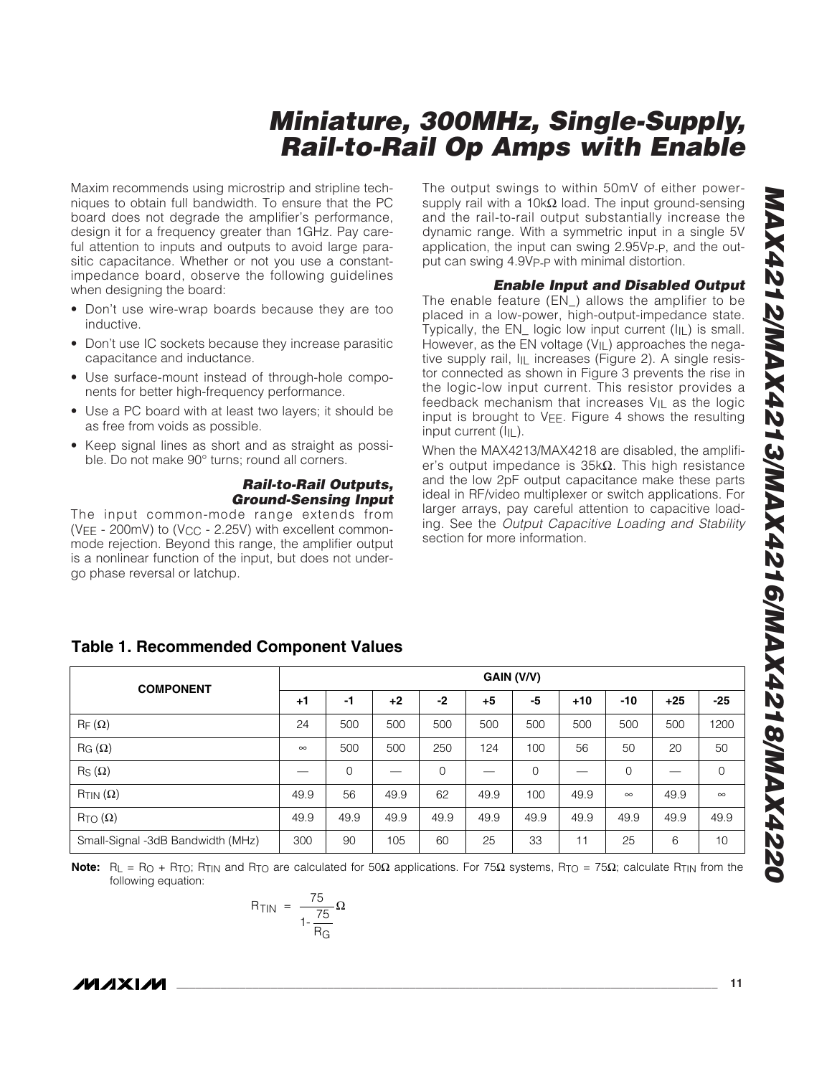Maxim recommends using microstrip and stripline techniques to obtain full bandwidth. To ensure that the PC board does not degrade the amplifier's performance, design it for a frequency greater than 1GHz. Pay careful attention to inputs and outputs to avoid large parasitic capacitance. Whether or not you use a constantimpedance board, observe the following guidelines when designing the board:

- Don't use wire-wrap boards because they are too inductive.
- Don't use IC sockets because they increase parasitic capacitance and inductance.
- Use surface-mount instead of through-hole components for better high-frequency performance.
- Use a PC board with at least two layers; it should be as free from voids as possible.
- Keep signal lines as short and as straight as possible. Do not make 90° turns; round all corners.

### *Rail-to-Rail Outputs, Ground-Sensing Input*

The input common-mode range extends from (VEE - 200mV) to (V<sub>CC</sub> - 2.25V) with excellent commonmode rejection. Beyond this range, the amplifier output is a nonlinear function of the input, but does not undergo phase reversal or latchup.

The output swings to within 50mV of either powersupply rail with a 10k $\Omega$  load. The input ground-sensing and the rail-to-rail output substantially increase the dynamic range. With a symmetric input in a single 5V application, the input can swing 2.95VP-P, and the output can swing 4.9V<sub>P-P</sub> with minimal distortion.

### *Enable Input and Disabled Output*

The enable feature (EN\_) allows the amplifier to be placed in a low-power, high-output-impedance state. Typically, the  $EN$  logic low input current  $(I|_L)$  is small. However, as the EN voltage (V<sub>IL</sub>) approaches the negative supply rail, I<sub>IL</sub> increases (Figure 2). A single resistor connected as shown in Figure 3 prevents the rise in the logic-low input current. This resistor provides a feedback mechanism that increases VIL as the logic input is brought to  $V_{EE}$ . Figure 4 shows the resulting input current (I<sub>IL</sub>).

When the MAX4213/MAX4218 are disabled, the amplifier's output impedance is 35kΩ. This high resistance and the low 2pF output capacitance make these parts ideal in RF/video multiplexer or switch applications. For larger arrays, pay careful attention to capacitive loading. See the *Output Capacitive Loading and Stability* section for more information.

| <b>COMPONENT</b>                  | GAIN (V/V) |             |      |             |      |             |       |             |       |                |
|-----------------------------------|------------|-------------|------|-------------|------|-------------|-------|-------------|-------|----------------|
|                                   | $+1$       | -1          | $+2$ | $-2$        | $+5$ | -5          | $+10$ | $-10$       | $+25$ | $-25$          |
| $R_F(\Omega)$                     | 24         | 500         | 500  | 500         | 500  | 500         | 500   | 500         | 500   | 1200           |
| $\text{RG}(\Omega)$               | $\infty$   | 500         | 500  | 250         | 124  | 100         | 56    | 50          | 20    | 50             |
| $\mathsf{R}_{\mathsf{S}}(\Omega)$ |            | $\mathbf 0$ |      | $\mathbf 0$ |      | $\mathbf 0$ |       | $\mathbf 0$ |       | $\overline{0}$ |
| $R_{TIN}(\Omega)$                 | 49.9       | 56          | 49.9 | 62          | 49.9 | 100         | 49.9  | $\infty$    | 49.9  | $\infty$       |
| $R_{TO}(\Omega)$                  | 49.9       | 49.9        | 49.9 | 49.9        | 49.9 | 49.9        | 49.9  | 49.9        | 49.9  | 49.9           |
| Small-Signal -3dB Bandwidth (MHz) | 300        | 90          | 105  | 60          | 25   | 33          | 11    | 25          | 6     | 10             |

### **Table 1. Recommended Component Values**

Note: R<sub>L</sub> = R<sub>O</sub> + R<sub>TO</sub>; R<sub>TIN</sub> and R<sub>TO</sub> are calculated for 50Ω applications. For 75Ω systems, R<sub>TO</sub> = 75Ω; calculate R<sub>TIN</sub> from the following equation:

$$
R_{TIN} = \frac{75}{1 - \frac{75}{R_G}} \Omega
$$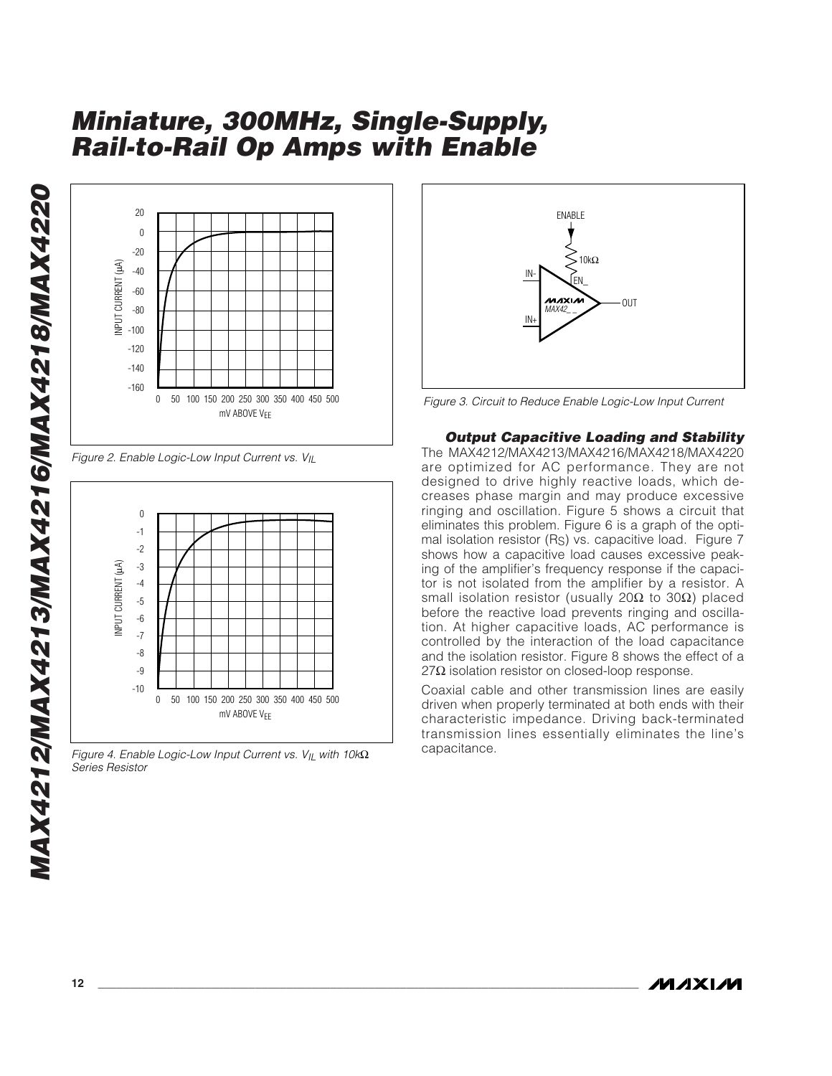

*Figure 2. Enable Logic-Low Input Current vs. VIL*



*Figure 4. Enable Logic-Low Input Current vs. VIL with 10k*Ω *Series Resistor*



*Figure 3. Circuit to Reduce Enable Logic-Low Input Current*

*Output Capacitive Loading and Stability* The MAX4212/MAX4213/MAX4216/MAX4218/MAX4220 are optimized for AC performance. They are not designed to drive highly reactive loads, which decreases phase margin and may produce excessive ringing and oscillation. Figure 5 shows a circuit that eliminates this problem. Figure 6 is a graph of the optimal isolation resistor (RS) vs. capacitive load. Figure 7 shows how a capacitive load causes excessive peaking of the amplifier's frequency response if the capacitor is not isolated from the amplifier by a resistor. A small isolation resistor (usually 20Ω to 30Ω) placed before the reactive load prevents ringing and oscillation. At higher capacitive loads, AC performance is controlled by the interaction of the load capacitance and the isolation resistor. Figure 8 shows the effect of a  $27Ω$  isolation resistor on closed-loop response.

Coaxial cable and other transmission lines are easily driven when properly terminated at both ends with their characteristic impedance. Driving back-terminated transmission lines essentially eliminates the line's capacitance.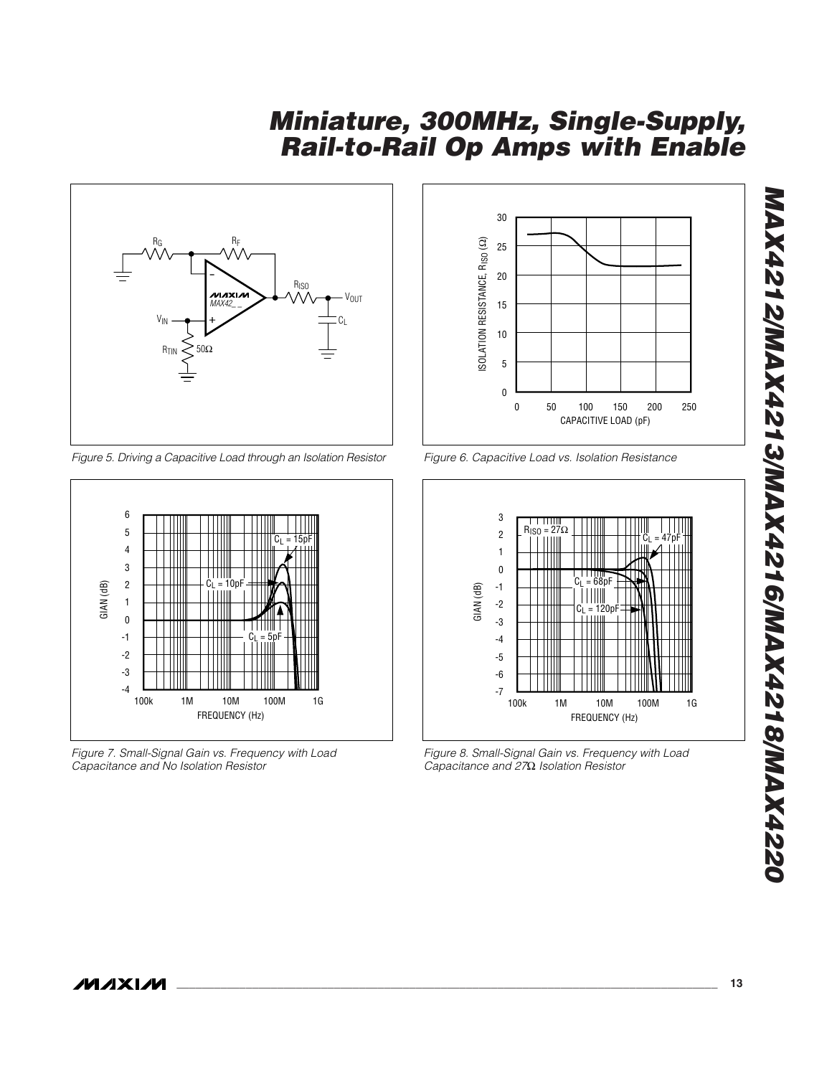

*Figure 5. Driving a Capacitive Load through an Isolation Resistor*



*Figure 7. Small-Signal Gain vs. Frequency with Load Capacitance and No Isolation Resistor*



*Figure 6. Capacitive Load vs. Isolation Resistance*



*Figure 8. Small-Signal Gain vs. Frequency with Load Capacitance and 27*Ω *Isolation Resistor*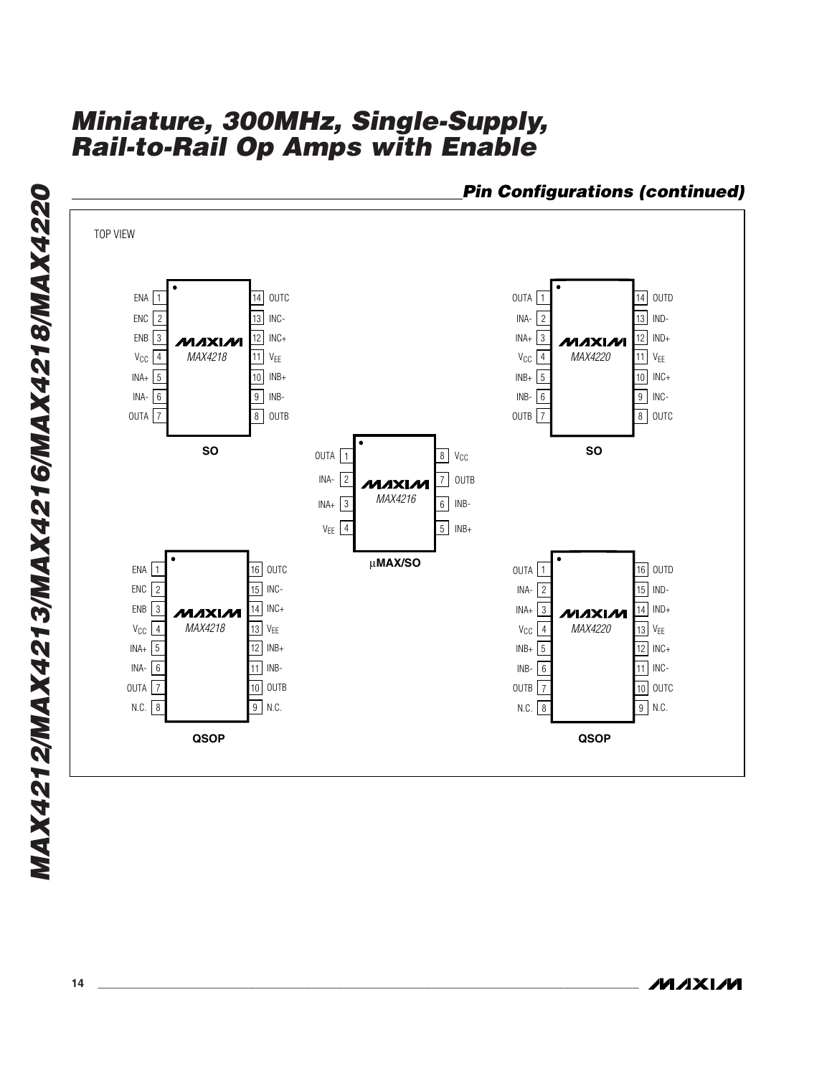

*Pin Configurations (continued)*

**MAXIM**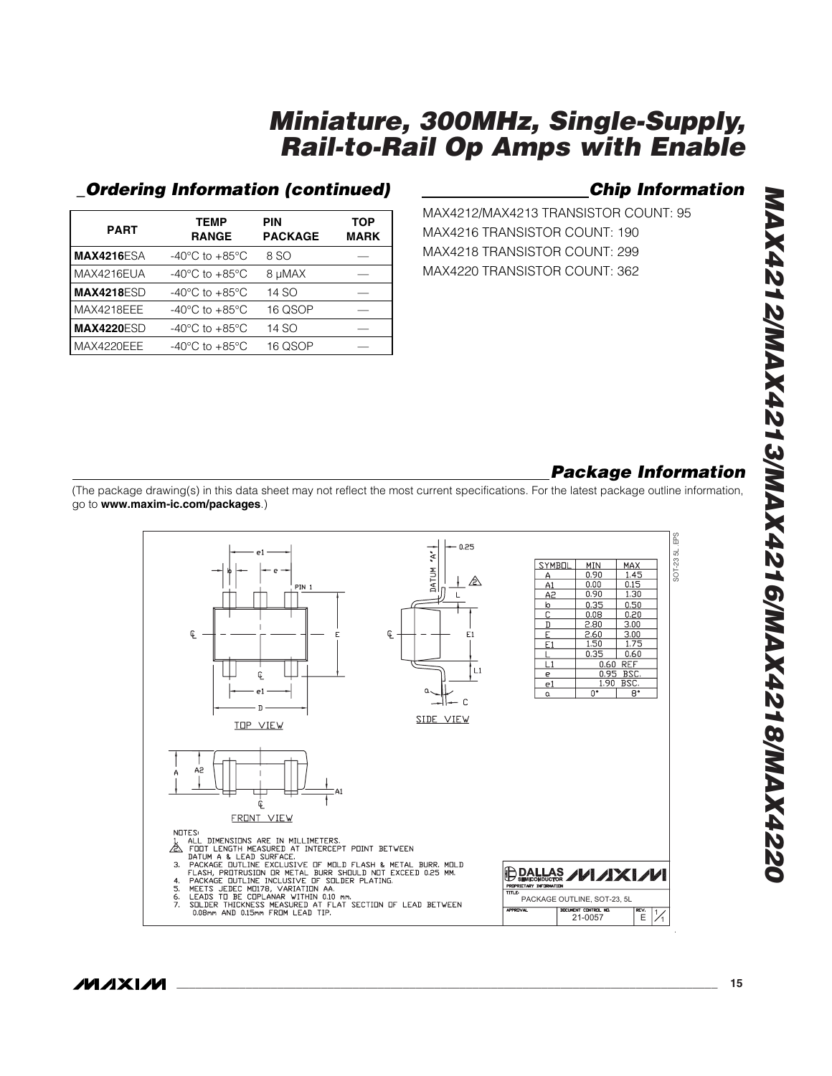### *\_Ordering Information (continued) Chip Information*

| <b>PART</b>       | <b>TEMP</b><br><b>RANGE</b>        | <b>PIN</b><br><b>PACKAGE</b> | TOP<br><b>MARK</b> |
|-------------------|------------------------------------|------------------------------|--------------------|
| <b>MAX4216ESA</b> | $-40^{\circ}$ C to $+85^{\circ}$ C | 8 SO                         |                    |
| MAX4216EUA        | $-40^{\circ}$ C to $+85^{\circ}$ C | 8 µMAX                       |                    |
| <b>MAX4218ESD</b> | $-40^{\circ}$ C to $+85^{\circ}$ C | 14 SO                        |                    |
| MAX4218EEE        | $-40^{\circ}$ C to $+85^{\circ}$ C | 16 QSOP                      |                    |
| <b>MAX4220ESD</b> | $-40^{\circ}$ C to $+85^{\circ}$ C | 14 SO                        |                    |
| MAX4220EEE        | $-40^{\circ}$ C to $+85^{\circ}$ C | 16 QSOP                      |                    |
|                   |                                    |                              |                    |

MAX4212/MAX4213 TRANSISTOR COUNT: 95 MAX4216 TRANSISTOR COUNT: 190 MAX4218 TRANSISTOR COUNT: 299 MAX4220 TRANSISTOR COUNT: 362

## *Package Information*

(The package drawing(s) in this data sheet may not reflect the most current specifications. For the latest package outline information, go to **www.maxim-ic.com/packages**.)



/VI/IXI/VI